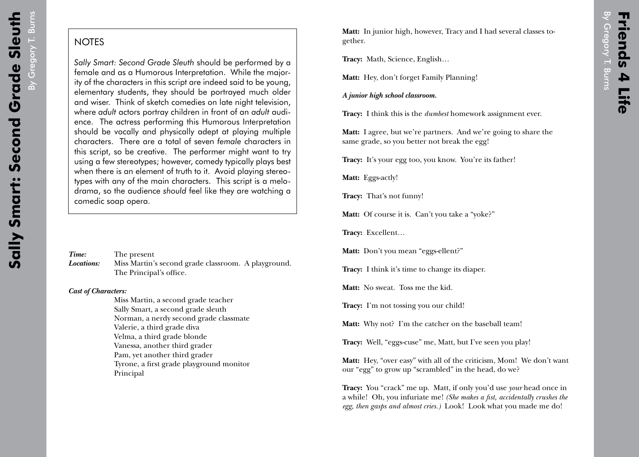By Gregory T. Burns By Gregory T. Burns

## **NOTES**

*Sally Smart: Second Grade Sleuth* should be performed by a female and as a Humorous Interpretation. While the majority of the characters in this script are indeed said to be young, elementary students, they should be portrayed much older and wiser. Think of sketch comedies on late night television, where *adult* actors portray children in front of an *adult* audience. The actress performing this Humorous Interpretation should be vocally and physically adept at playing multiple characters. There are a total of seven *female* characters in this script, so be creative. The performer might want to try using a few stereotypes; however, comedy typically plays best when there is an element of truth to it. Avoid playing stereotypes with any of the main characters. This script is a melodrama, so the audience *should* feel like they are watching a comedic soap opera.

| Time:      | The present                                         |
|------------|-----------------------------------------------------|
| Locations: | Miss Martin's second grade classroom. A playground. |
|            | The Principal's office.                             |

## *Cast of Characters:*

Miss Martin, a second grade teacher Sally Smart, a second grade sleuth Norman, a nerdy second grade classmate Valerie, a third grade diva Velma, a third grade blonde Vanessa, another third grader Pam, yet another third grader Tyrone, a first grade playground monitor Principal